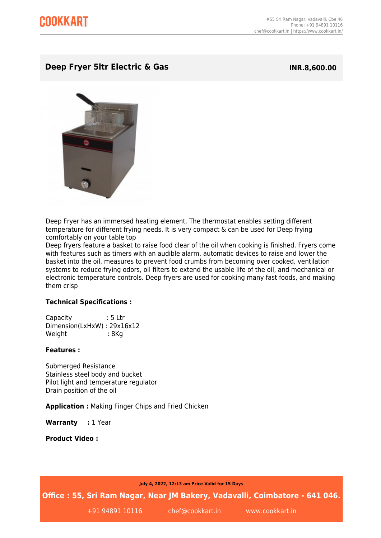## **Deep Fryer 5ltr Electric & Gas INR.8,600.00**



Deep Fryer has an immersed heating element. The thermostat enables setting different temperature for different frying needs. It is very compact & can be used for Deep frying comfortably on your table top

Deep fryers feature a basket to raise food clear of the oil when cooking is finished. Fryers come with features such as timers with an audible alarm, automatic devices to raise and lower the basket into the oil, measures to prevent food crumbs from becoming over cooked, ventilation systems to reduce frying odors, oil filters to extend the usable life of the oil, and mechanical or electronic temperature controls. Deep fryers are used for cooking many fast foods, and making them crisp

## **Technical Specifications :**

Capacity : 5 Ltr Dimension(LxHxW) : 29x16x12 Weight : 8Kg

## **Features :**

Submerged Resistance Stainless steel body and bucket Pilot light and temperature regulator Drain position of the oil

**Application :** Making Finger Chips and Fried Chicken

Warranty : 1 Year

**Product Video :**

**July 4, 2022, 12:13 am Price Valid for 15 Days**

**Office : 55, Sri Ram Nagar, Near JM Bakery, Vadavalli, Coimbatore - 641 046.**